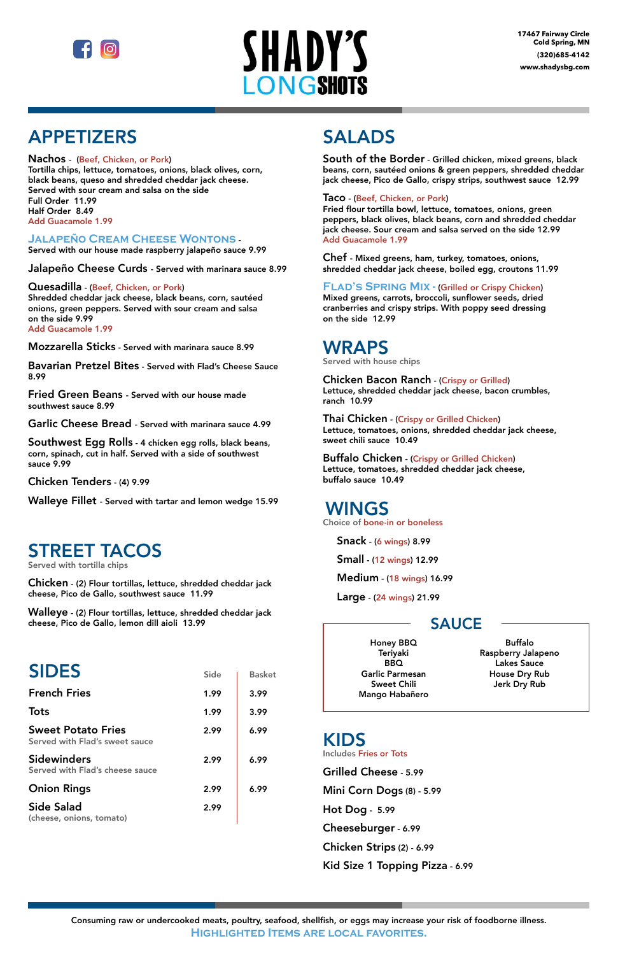



# APPETIZERS

### Nachos - (Beef, Chicken, or Pork)

Tortilla chips, lettuce, tomatoes, onions, black olives, corn, black beans, queso and shredded cheddar jack cheese. Served with sour cream and salsa on the side Full Order 11.99 Half Order 8.49 Add Guacamole 1.99

## **Jalapeño Cream Cheese Wontons** -

Served with our house made raspberry jalapeño sauce 9.99

Jalapeño Cheese Curds - Served with marinara sauce 8.99

### Quesadilla - (Beef, Chicken, or Pork)

Shredded cheddar jack cheese, black beans, corn, sautéed onions, green peppers. Served with sour cream and salsa on the side 9.99 Add Guacamole 1.99

Mozzarella Sticks - Served with marinara sauce 8.99

Bavarian Pretzel Bites - Served with Flad's Cheese Sauce 8.99

Fried Green Beans - Served with our house made southwest sauce 8.99

Garlic Cheese Bread - Served with marinara sauce 4.99

Southwest Egg Rolls - 4 chicken egg rolls, black beans, corn, spinach, cut in half. Served with a side of southwest sauce 9.99

Chicken Tenders - (4) 9.99

Walleye Fillet - Served with tartar and lemon wedge 15.99

## STREET TACOS

Served with tortilla chips

Chicken - (2) Flour tortillas, lettuce, shredded cheddar jack cheese, Pico de Gallo, southwest sauce 11.99

Walleye - (2) Flour tortillas, lettuce, shredded cheddar jack cheese, Pico de Gallo, lemon dill aioli 13.99

# **SIDES**

## **French Fries**

| Side | <b>Basket</b> |
|------|---------------|
| 1.99 | 3.99          |

# SALADS

South of the Border - Grilled chicken, mixed greens, black beans, corn, sautéed onions & green peppers, shredded cheddar jack cheese, Pico de Gallo, crispy strips, southwest sauce 12.99

### Taco - (Beef, Chicken, or Pork)

Fried flour tortilla bowl, lettuce, tomatoes, onions, green peppers, black olives, black beans, corn and shredded cheddar jack cheese. Sour cream and salsa served on the side 12.99 Add Guacamole 1.99

Chef - Mixed greens, ham, turkey, tomatoes, onions, shredded cheddar jack cheese, boiled egg, croutons 11.99

## **FLAD'S SPRING MIX - (Grilled or Crispy Chicken)**

Mixed greens, carrots, broccoli, sunflower seeds, dried cranberries and crispy strips. With poppy seed dressing on the side 12.99

## WRAPS

Served with house chips

Chicken Bacon Ranch - (Crispy or Grilled) Lettuce, shredded cheddar jack cheese, bacon crumbles, ranch 10.99

Thai Chicken - (Crispy or Grilled Chicken) Lettuce, tomatoes, onions, shredded cheddar jack cheese, sweet chili sauce 10.49

Buffalo Chicken - (Crispy or Grilled Chicken) Lettuce, tomatoes, shredded cheddar jack cheese, buffalo sauce 10.49

## WINGS

Choice of bone-in or boneless

Snack - (6 wings) 8.99

Small - (12 wings) 12.99

Medium - (18 wings) 16.99

Large - (24 wings) 21.99

## SAUCE

Consuming raw or undercooked meats, poultry, seafood, shellfish, or eggs may increase your risk of foodborne illness. **Highlighted Items are local favorites.**

| <b>Tots</b>                                                 | 1.99 | 3.99 |
|-------------------------------------------------------------|------|------|
| <b>Sweet Potato Fries</b><br>Served with Flad's sweet sauce | 2.99 | 6.99 |
| <b>Sidewinders</b><br>Served with Flad's cheese sauce       | 2.99 | 6.99 |
| <b>Onion Rings</b>                                          | 2.99 | 6.99 |
| <b>Side Salad</b><br>(cheese, onions, tomato)               | 2.99 |      |

## KIDS Includes Fries or Tots

Grilled Cheese - 5.99

Mini Corn Dogs (8) - 5.99

Hot Dog - 5.99

Cheeseburger - 6.99

Chicken Strips (2) - 6.99

Kid Size 1 Topping Pizza - 6.99

Honey BBQ Teriyaki BBQ Garlic Parmesan Sweet Chili Mango Habañero

Buffalo Raspberry Jalapeno Lakes Sauce House Dry Rub Jerk Dry Rub